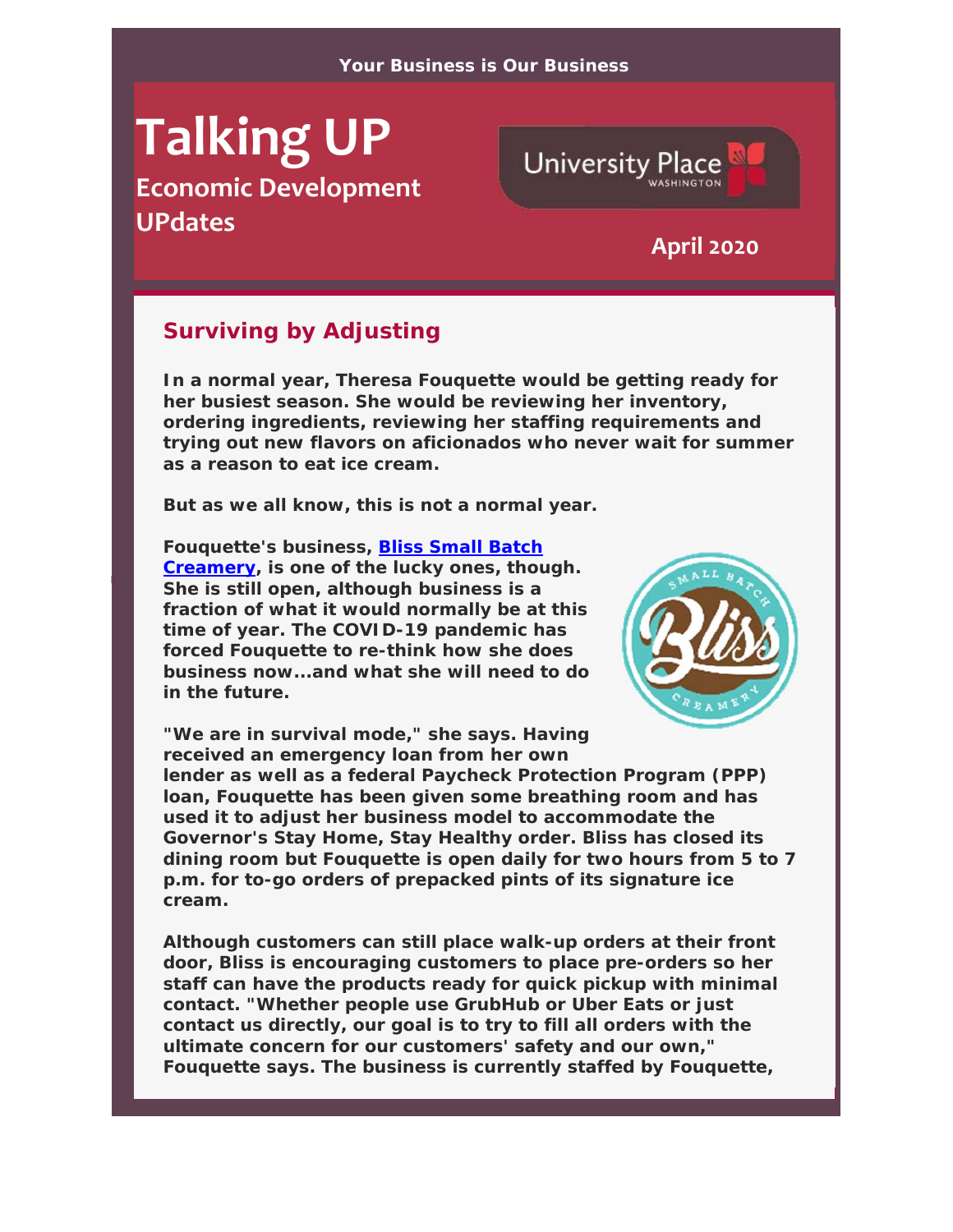# **Talking UP**

**Economic Development UPdates April <sup>2020</sup>**



#### **Surviving by Adjusting**

**In a normal year, Theresa Fouquette would be getting ready for her busiest season. She would be reviewing her inventory, ordering ingredients, reviewing her staffing requirements and trying out new flavors on aficionados who never wait for summer as a reason to eat ice cream.**

**But as we all know, this is not a normal year.**

**Fouquette's business, Bliss Small Batch Creamery, is one of the lucky ones, though. She is still open, although business is a fraction of what it would normally be at this time of year. The COVID-19 pandemic has forced Fouquette to re-think how she does business now...and what she will need to do in the future.**



**"We are in survival mode," she says. Having received an emergency loan from her own** 

**lender as well as a federal Paycheck Protection Program (PPP) loan, Fouquette has been given some breathing room and has used it to adjust her business model to accommodate the Governor's Stay Home, Stay Healthy order. Bliss has closed its dining room but Fouquette is open daily for two hours from 5 to 7 p.m. for to-go orders of prepacked pints of its signature ice cream.**

**Although customers can still place walk-up orders at their front door, Bliss is encouraging customers to place pre-orders so her staff can have the products ready for quick pickup with minimal contact. "Whether people use GrubHub or Uber Eats or just contact us directly, our goal is to try to fill all orders with the ultimate concern for our customers' safety and our own," Fouquette says. The business is currently staffed by Fouquette,**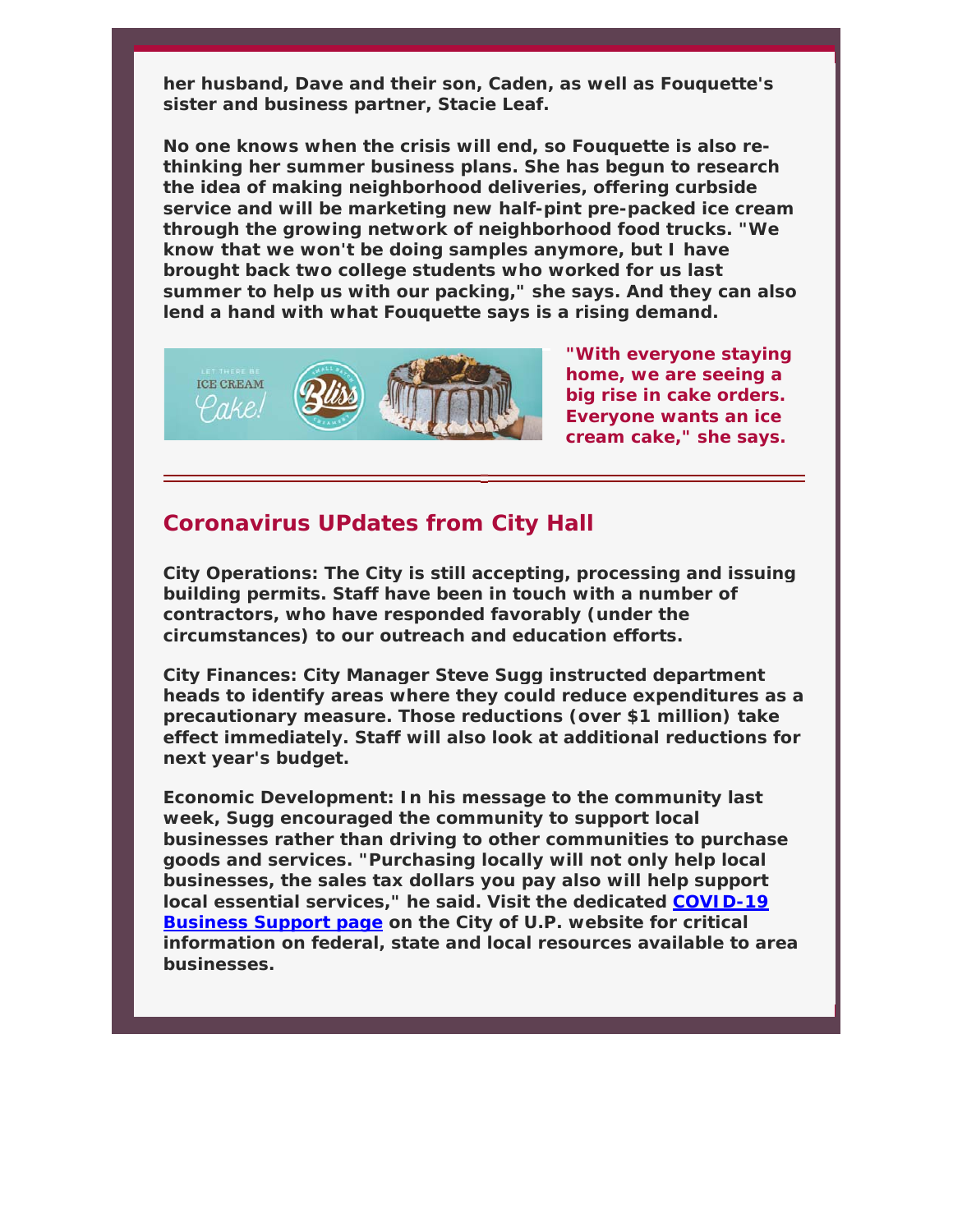**her husband, Dave and their son, Caden, as well as Fouquette's sister and business partner, Stacie Leaf.** 

**No one knows when the crisis will end, so Fouquette is also rethinking her summer business plans. She has begun to research the idea of making neighborhood deliveries, offering curbside service and will be marketing new half-pint pre-packed ice cream through the growing network of neighborhood food trucks. "We know that we won't be doing samples anymore, but I have brought back two college students who worked for us last summer to help us with our packing," she says. And they can also lend a hand with what Fouquette says is a rising demand.** 



**"With everyone staying home, we are seeing a big rise in cake orders. Everyone wants an ice cream cake," she says.**

#### **Coronavirus UPdates from City Hall**

**City Operations: The City is still accepting, processing and issuing building permits. Staff have been in touch with a number of contractors, who have responded favorably (under the circumstances) to our outreach and education efforts.**

**City Finances: City Manager Steve Sugg instructed department heads to identify areas where they could reduce expenditures as a precautionary measure. Those reductions (over \$1 million) take effect immediately. Staff will also look at additional reductions for next year's budget.**

**Economic Development: In his message to the community last week, Sugg encouraged the community to support local businesses rather than driving to other communities to purchase goods and services. "Purchasing locally will not only help local businesses, the sales tax dollars you pay also will help support local essential services," he said. Visit the dedicated COVID-19 Business Support page on the City of U.P. website for critical information on federal, state and local resources available to area businesses.**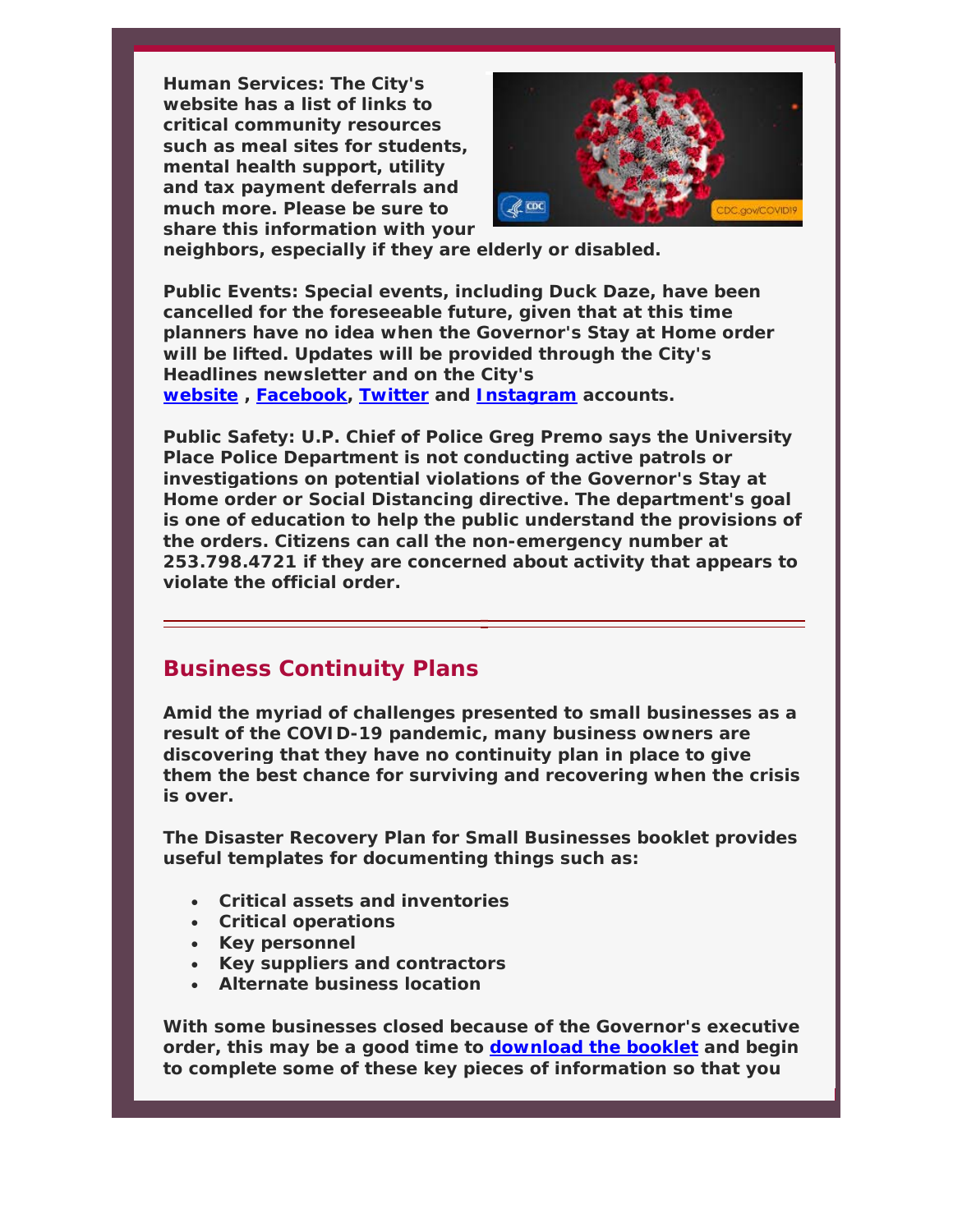**Human Services: The City's website has a list of links to critical community resources such as meal sites for students, mental health support, utility and tax payment deferrals and much more. Please be sure to share this information with your** 



**neighbors, especially if they are elderly or disabled.**

**Public Events: Special events, including Duck Daze, have been cancelled for the foreseeable future, given that at this time planners have no idea when the Governor's Stay at Home order will be lifted. Updates will be provided through the City's Headlines newsletter and on the City's website , Facebook, Twitter and Instagram accounts.**

**Public Safety: U.P. Chief of Police Greg Premo says the University Place Police Department is not conducting active patrols or investigations on potential violations of the Governor's Stay at Home order or Social Distancing directive. The department's goal is one of education to help the public understand the provisions of the orders. Citizens can call the non-emergency number at 253.798.4721 if they are concerned about activity that appears to violate the official order.**

#### **Business Continuity Plans**

**Amid the myriad of challenges presented to small businesses as a result of the COVID-19 pandemic, many business owners are discovering that they have no continuity plan in place to give them the best chance for surviving and recovering when the crisis is over.** 

**The Disaster Recovery Plan for Small Businesses booklet provides useful templates for documenting things such as:** 

- **Critical assets and inventories**
- **Critical operations**
- **Key personnel**
- **Key suppliers and contractors**
- **Alternate business location**

**With some businesses closed because of the Governor's executive order, this may be a good time to download the booklet and begin to complete some of these key pieces of information so that you**